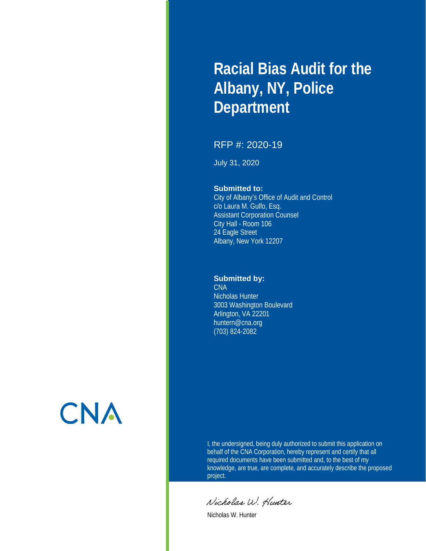# **Racial Bias Audit for the Albany, NY, Police Department**

#### RFP #: 2020-19

July 31, 2020

#### **Submitted to:**

City of Albany's Office of Audit and Control c/o Laura M. Gulfo, Esq. Assistant Corporation Counsel City Hall - Room 106 24 Eagle Street Albany, New York 12207

#### **Submitted by:**

**CNA** Nicholas Hunter 3003 Washington Boulevard Arlington, VA 22201 huntern@cna.org (703) 824-2082

**CNA** 

I, the undersigned, being duly authorized to submit this application on behalf of the CNA Corporation, hereby represent and certify that all required documents have been submitted and, to the best of my knowledge, are true, are complete, and accurately describe the proposed project.

Nicholas W. Hunter

Nicholas W. Hunter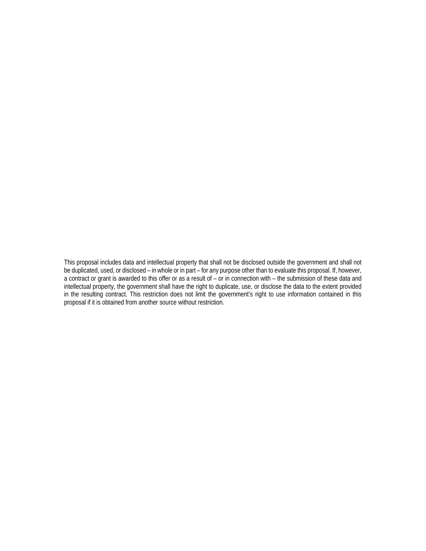This proposal includes data and intellectual property that shall not be disclosed outside the government and shall not be duplicated, used, or disclosed – in whole or in part – for any purpose other than to evaluate this proposal. If, however, a contract or grant is awarded to this offer or as a result of – or in connection with – the submission of these data and intellectual property, the government shall have the right to duplicate, use, or disclose the data to the extent provided in the resulting contract. This restriction does not limit the government's right to use information contained in this proposal if it is obtained from another source without restriction.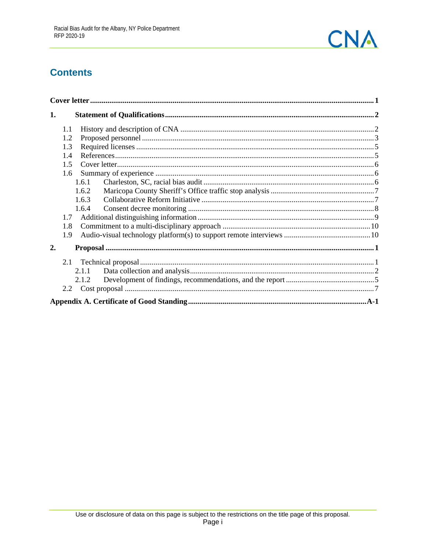

# **Contents**

| 1.    |  |
|-------|--|
| 1.1   |  |
| 1.2   |  |
| 1.3   |  |
| 1.4   |  |
| 1.5   |  |
| 1.6   |  |
| 1.6.1 |  |
| 1.6.2 |  |
| 1.6.3 |  |
| 1.6.4 |  |
| 1.7   |  |
| 1.8   |  |
| 1.9   |  |
| 2.    |  |
|       |  |
| 2.1.1 |  |
| 2.1.2 |  |
|       |  |
|       |  |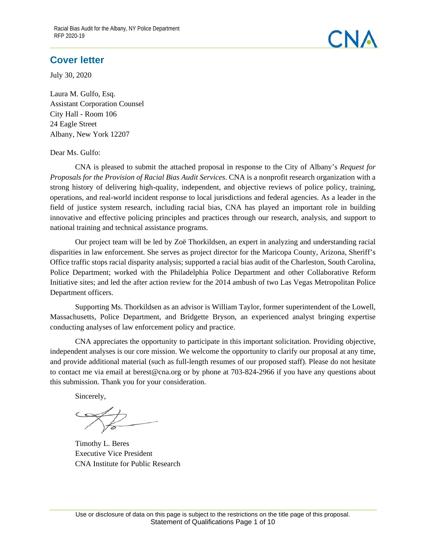### <span id="page-3-0"></span>**Cover letter**

July 30, 2020

Laura M. Gulfo, Esq. Assistant Corporation Counsel City Hall - Room 106 24 Eagle Street Albany, New York 12207

#### Dear Ms. Gulfo:

CNA is pleased to submit the attached proposal in response to the City of Albany's *Request for Proposals for the Provision of Racial Bias Audit Services*. CNA is a nonprofit research organization with a strong history of delivering high-quality, independent, and objective reviews of police policy, training, operations, and real-world incident response to local jurisdictions and federal agencies. As a leader in the field of justice system research, including racial bias, CNA has played an important role in building innovative and effective policing principles and practices through our research, analysis, and support to national training and technical assistance programs.

Our project team will be led by Zoë Thorkildsen, an expert in analyzing and understanding racial disparities in law enforcement. She serves as project director for the Maricopa County, Arizona, Sheriff's Office traffic stops racial disparity analysis; supported a racial bias audit of the Charleston, South Carolina, Police Department; worked with the Philadelphia Police Department and other Collaborative Reform Initiative sites; and led the after action review for the 2014 ambush of two Las Vegas Metropolitan Police Department officers.

Supporting Ms. Thorkildsen as an advisor is William Taylor, former superintendent of the Lowell, Massachusetts, Police Department, and Bridgette Bryson, an experienced analyst bringing expertise conducting analyses of law enforcement policy and practice.

CNA appreciates the opportunity to participate in this important solicitation. Providing objective, independent analyses is our core mission. We welcome the opportunity to clarify our proposal at any time, and provide additional material (such as full-length resumes of our proposed staff). Please do not hesitate to contact me via email at berest@cna.org or by phone at 703-824-2966 if you have any questions about this submission. Thank you for your consideration.

Sincerely,

Timothy L. Beres Executive Vice President CNA Institute for Public Research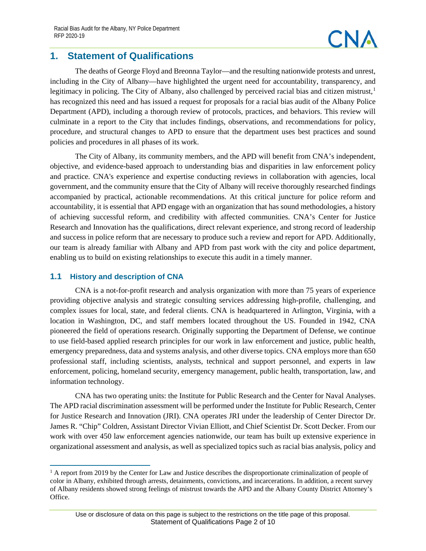### <span id="page-4-0"></span>**1. Statement of Qualifications**

The deaths of George Floyd and Breonna Taylor—and the resulting nationwide protests and unrest, including in the City of Albany—have highlighted the urgent need for accountability, transparency, and legitimacy in policing. The City of Albany, also challenged by perceived racial bias and citizen mistrust, $<sup>1</sup>$  $<sup>1</sup>$  $<sup>1</sup>$ </sup> has recognized this need and has issued a request for proposals for a racial bias audit of the Albany Police Department (APD), including a thorough review of protocols, practices, and behaviors. This review will culminate in a report to the City that includes findings, observations, and recommendations for policy, procedure, and structural changes to APD to ensure that the department uses best practices and sound policies and procedures in all phases of its work.

The City of Albany, its community members, and the APD will benefit from CNA's independent, objective, and evidence-based approach to understanding bias and disparities in law enforcement policy and practice. CNA's experience and expertise conducting reviews in collaboration with agencies, local government, and the community ensure that the City of Albany will receive thoroughly researched findings accompanied by practical, actionable recommendations. At this critical juncture for police reform and accountability, it is essential that APD engage with an organization that has sound methodologies, a history of achieving successful reform, and credibility with affected communities. CNA's Center for Justice Research and Innovation has the qualifications, direct relevant experience, and strong record of leadership and success in police reform that are necessary to produce such a review and report for APD. Additionally, our team is already familiar with Albany and APD from past work with the city and police department, enabling us to build on existing relationships to execute this audit in a timely manner.

#### <span id="page-4-1"></span>**1.1 History and description of CNA**

CNA is a not-for-profit research and analysis organization with more than 75 years of experience providing objective analysis and strategic consulting services addressing high-profile, challenging, and complex issues for local, state, and federal clients. CNA is headquartered in Arlington, Virginia, with a location in Washington, DC, and staff members located throughout the US. Founded in 1942, CNA pioneered the field of operations research. Originally supporting the Department of Defense, we continue to use field-based applied research principles for our work in law enforcement and justice, public health, emergency preparedness, data and systems analysis, and other diverse topics. CNA employs more than 650 professional staff, including scientists, analysts, technical and support personnel, and experts in law enforcement, policing, homeland security, emergency management, public health, transportation, law, and information technology.

CNA has two operating units: the Institute for Public Research and the Center for Naval Analyses. The APD racial discrimination assessment will be performed under the Institute for Public Research, Center for Justice Research and Innovation (JRI). CNA operates JRI under the leadership of Center Director Dr. James R. "Chip" Coldren, Assistant Director Vivian Elliott, and Chief Scientist Dr. Scott Decker. From our work with over 450 law enforcement agencies nationwide, our team has built up extensive experience in organizational assessment and analysis, as well as specialized topics such as racial bias analysis, policy and

<span id="page-4-2"></span> $1$  A report from 2019 by the Center for Law and Justice describes the disproportionate criminalization of people of color in Albany, exhibited through arrests, detainments, convictions, and incarcerations. In addition, a recent survey of Albany residents showed strong feelings of mistrust towards the APD and the Albany County District Attorney's Office.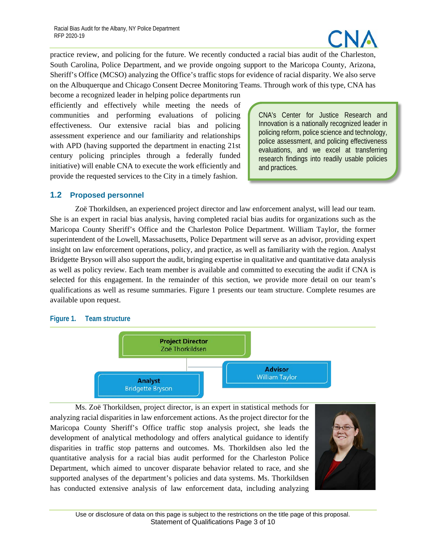

practice review, and policing for the future. We recently conducted a racial bias audit of the Charleston, South Carolina, Police Department, and we provide ongoing support to the Maricopa County, Arizona, Sheriff's Office (MCSO) analyzing the Office's traffic stops for evidence of racial disparity. We also serve on the Albuquerque and Chicago Consent Decree Monitoring Teams. Through work of this type, CNA has

become a recognized leader in helping police departments run efficiently and effectively while meeting the needs of communities and performing evaluations of policing effectiveness. Our extensive racial bias and policing assessment experience and our familiarity and relationships with APD (having supported the department in enacting 21st century policing principles through a federally funded initiative) will enable CNA to execute the work efficiently and provide the requested services to the City in a timely fashion.

CNA's Center for Justice Research and Innovation is a nationally recognized leader in policing reform, police science and technology, police assessment, and policing effectiveness evaluations, and we excel at transferring research findings into readily usable policies and practices.

#### <span id="page-5-0"></span>**1.2 Proposed personnel**

Zoë Thorkildsen, an experienced project director and law enforcement analyst, will lead our team. She is an expert in racial bias analysis, having completed racial bias audits for organizations such as the Maricopa County Sheriff's Office and the Charleston Police Department. William Taylor, the former superintendent of the Lowell, Massachusetts, Police Department will serve as an advisor, providing expert insight on law enforcement operations, policy, and practice, as well as familiarity with the region. Analyst Bridgette Bryson will also support the audit, bringing expertise in qualitative and quantitative data analysis as well as policy review. Each team member is available and committed to executing the audit if CNA is selected for this engagement. In the remainder of this section, we provide more detail on our team's qualifications as well as resume summaries. [Figure 1](#page-5-1) presents our team structure. Complete resumes are available upon request.

#### <span id="page-5-1"></span>**Figure 1. Team structure**



Ms. Zoë Thorkildsen, project director, is an expert in statistical methods for analyzing racial disparities in law enforcement actions. As the project director for the Maricopa County Sheriff's Office traffic stop analysis project, she leads the development of analytical methodology and offers analytical guidance to identify disparities in traffic stop patterns and outcomes. Ms. Thorkildsen also led the quantitative analysis for a racial bias audit performed for the Charleston Police Department, which aimed to uncover disparate behavior related to race, and she supported analyses of the department's policies and data systems. Ms. Thorkildsen has conducted extensive analysis of law enforcement data, including analyzing

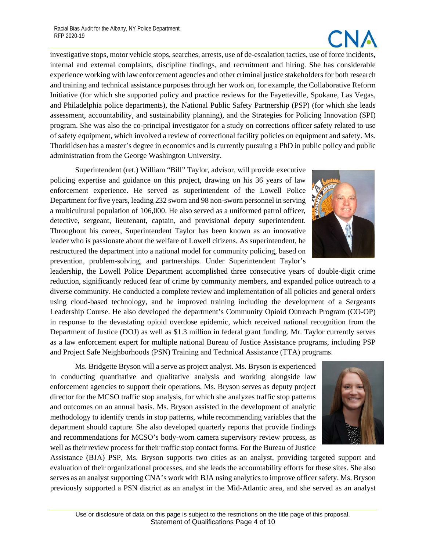

investigative stops, motor vehicle stops, searches, arrests, use of de-escalation tactics, use of force incidents, internal and external complaints, discipline findings, and recruitment and hiring. She has considerable experience working with law enforcement agencies and other criminal justice stakeholders for both research and training and technical assistance purposes through her work on, for example, the Collaborative Reform Initiative (for which she supported policy and practice reviews for the Fayetteville, Spokane, Las Vegas, and Philadelphia police departments), the National Public Safety Partnership (PSP) (for which she leads assessment, accountability, and sustainability planning), and the Strategies for Policing Innovation (SPI) program. She was also the co-principal investigator for a study on corrections officer safety related to use of safety equipment, which involved a review of correctional facility policies on equipment and safety. Ms. Thorkildsen has a master's degree in economics and is currently pursuing a PhD in public policy and public administration from the George Washington University.

Superintendent (ret.) William "Bill" Taylor, advisor, will provide executive policing expertise and guidance on this project, drawing on his 36 years of law enforcement experience. He served as superintendent of the Lowell Police Department for five years, leading 232 sworn and 98 non-sworn personnel in serving a multicultural population of 106,000. He also served as a uniformed patrol officer, detective, sergeant, lieutenant, captain, and provisional deputy superintendent. Throughout his career, Superintendent Taylor has been known as an innovative leader who is passionate about the welfare of Lowell citizens. As superintendent, he restructured the department into a national model for community policing, based on prevention, problem-solving, and partnerships. Under Superintendent Taylor's

leadership, the Lowell Police Department accomplished three consecutive years of double-digit crime reduction, significantly reduced fear of crime by community members, and expanded police outreach to a diverse community. He conducted a complete review and implementation of all policies and general orders using cloud-based technology, and he improved training including the development of a Sergeants Leadership Course. He also developed the department's Community Opioid Outreach Program (CO-OP) in response to the devastating opioid overdose epidemic, which received national recognition from the Department of Justice (DOJ) as well as \$1.3 million in federal grant funding. Mr. Taylor currently serves as a law enforcement expert for multiple national Bureau of Justice Assistance programs, including PSP and Project Safe Neighborhoods (PSN) Training and Technical Assistance (TTA) programs.

Ms. Bridgette Bryson will a serve as project analyst. Ms. Bryson is experienced in conducting quantitative and qualitative analysis and working alongside law enforcement agencies to support their operations. Ms. Bryson serves as deputy project director for the MCSO traffic stop analysis, for which she analyzes traffic stop patterns and outcomes on an annual basis. Ms. Bryson assisted in the development of analytic methodology to identify trends in stop patterns, while recommending variables that the department should capture. She also developed quarterly reports that provide findings and recommendations for MCSO's body-worn camera supervisory review process, as well as their review process for their traffic stop contact forms. For the Bureau of Justice



Assistance (BJA) PSP, Ms. Bryson supports two cities as an analyst, providing targeted support and evaluation of their organizational processes, and she leads the accountability efforts for these sites. She also serves as an analyst supporting CNA's work with BJA using analytics to improve officer safety. Ms. Bryson previously supported a PSN district as an analyst in the Mid-Atlantic area, and she served as an analyst

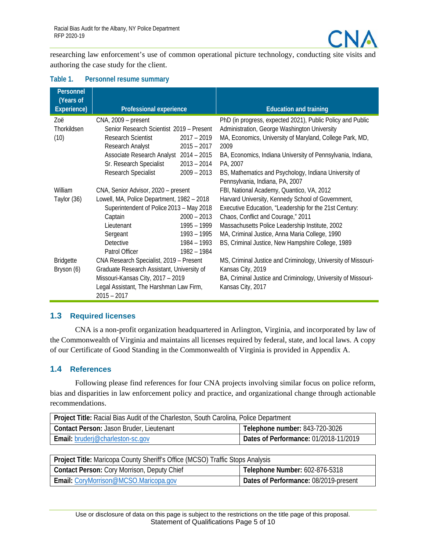

researching law enforcement's use of common operational picture technology, conducting site visits and authoring the case study for the client.

| Personnel<br>(Years of<br>Experience) | Professional experience                                  |               | <b>Education and training</b>                                 |
|---------------------------------------|----------------------------------------------------------|---------------|---------------------------------------------------------------|
| Zoë                                   | CNA, 2009 - present                                      |               | PhD (in progress, expected 2021), Public Policy and Public    |
| Thorkildsen                           | Senior Research Scientist 2019 - Present                 |               | Administration, George Washington University                  |
| (10)                                  | <b>Research Scientist</b>                                | $2017 - 2019$ | MA, Economics, University of Maryland, College Park, MD,      |
|                                       | Research Analyst                                         | $2015 - 2017$ | 2009                                                          |
|                                       | Associate Research Analyst 2014 - 2015                   |               | BA, Economics, Indiana University of Pennsylvania, Indiana,   |
|                                       | Sr. Research Specialist                                  | $2013 - 2014$ | PA, 2007                                                      |
|                                       | Research Specialist                                      | $2009 - 2013$ | BS, Mathematics and Psychology, Indiana University of         |
|                                       |                                                          |               | Pennsylvania, Indiana, PA, 2007                               |
| William                               | CNA, Senior Advisor, 2020 - present                      |               | FBI, National Academy, Quantico, VA, 2012                     |
| Taylor (36)                           | Lowell, MA, Police Department, 1982 - 2018               |               | Harvard University, Kennedy School of Government,             |
|                                       | Superintendent of Police 2013 - May 2018                 |               | Executive Education, "Leadership for the 21st Century:        |
|                                       | Captain                                                  | $2000 - 2013$ | Chaos, Conflict and Courage," 2011                            |
|                                       | Lieutenant                                               | 1995 - 1999   | Massachusetts Police Leadership Institute, 2002               |
|                                       | Sergeant                                                 | $1993 - 1995$ | MA, Criminal Justice, Anna Maria College, 1990                |
|                                       | Detective                                                | 1984 - 1993   | BS, Criminal Justice, New Hampshire College, 1989             |
|                                       | Patrol Officer                                           | 1982 - 1984   |                                                               |
| <b>Bridgette</b>                      | CNA Research Specialist, 2019 - Present                  |               | MS, Criminal Justice and Criminology, University of Missouri- |
| Bryson (6)                            | Graduate Research Assistant, University of               |               | Kansas City, 2019                                             |
|                                       | Missouri-Kansas City, 2017 - 2019                        |               | BA, Criminal Justice and Criminology, University of Missouri- |
|                                       | Legal Assistant, The Harshman Law Firm,<br>$2015 - 2017$ |               | Kansas City, 2017                                             |

#### **Table 1. Personnel resume summary**

#### <span id="page-7-0"></span>**1.3 Required licenses**

CNA is a non-profit organization headquartered in Arlington, Virginia, and incorporated by law of the Commonwealth of Virginia and maintains all licenses required by federal, state, and local laws. A copy of our Certificate of Good Standing in the Commonwealth of Virginia is provided in Appendix A.

#### <span id="page-7-1"></span>**1.4 References**

Following please find references for four CNA projects involving similar focus on police reform, bias and disparities in law enforcement policy and practice, and organizational change through actionable recommendations.

| Project Title: Racial Bias Audit of the Charleston, South Carolina, Police Department |                                       |  |  |
|---------------------------------------------------------------------------------------|---------------------------------------|--|--|
| Contact Person: Jason Bruder, Lieutenant                                              | Telephone number: 843-720-3026        |  |  |
| <b>Email:</b> bruderj@charleston-sc.gov                                               | Dates of Performance: 01/2018-11/2019 |  |  |

| Project Title: Maricopa County Sheriff's Office (MCSO) Traffic Stops Analysis |                                       |  |  |
|-------------------------------------------------------------------------------|---------------------------------------|--|--|
| <b>Contact Person: Cory Morrison, Deputy Chief</b>                            | Telephone Number: 602-876-5318        |  |  |
| Email: CoryMorrison@MCSO.Maricopa.gov                                         | Dates of Performance: 08/2019-present |  |  |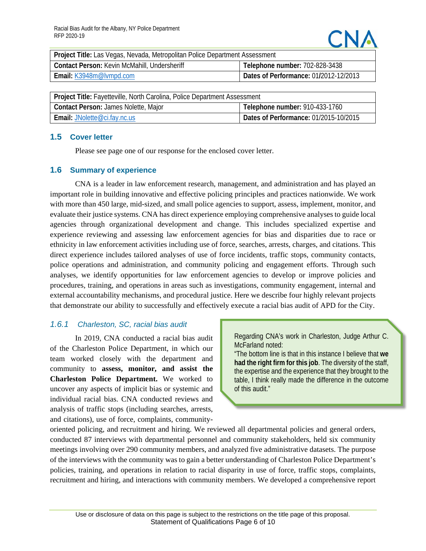| Project Title: Las Vegas, Nevada, Metropolitan Police Department Assessment |                                       |  |  |
|-----------------------------------------------------------------------------|---------------------------------------|--|--|
| Contact Person: Kevin McMahill, Undersheriff                                | Telephone number: 702-828-3438        |  |  |
| Email: K3948m@lvmpd.com                                                     | Dates of Performance: 01/2012-12/2013 |  |  |

| Project Title: Fayetteville, North Carolina, Police Department Assessment |                                       |  |  |
|---------------------------------------------------------------------------|---------------------------------------|--|--|
| Contact Person: James Nolette, Major                                      | Telephone number: 910-433-1760        |  |  |
| <b>Email: JNolette@ci.fay.nc.us</b>                                       | Dates of Performance: 01/2015-10/2015 |  |  |

#### <span id="page-8-0"></span>**1.5 Cover letter**

Please see page one of our response for the enclosed cover letter.

#### <span id="page-8-1"></span>**1.6 Summary of experience**

CNA is a leader in law enforcement research, management, and administration and has played an important role in building innovative and effective policing principles and practices nationwide. We work with more than 450 large, mid-sized, and small police agencies to support, assess, implement, monitor, and evaluate their justice systems. CNA has direct experience employing comprehensive analyses to guide local agencies through organizational development and change. This includes specialized expertise and experience reviewing and assessing law enforcement agencies for bias and disparities due to race or ethnicity in law enforcement activities including use of force, searches, arrests, charges, and citations. This direct experience includes tailored analyses of use of force incidents, traffic stops, community contacts, police operations and administration, and community policing and engagement efforts. Through such analyses, we identify opportunities for law enforcement agencies to develop or improve policies and procedures, training, and operations in areas such as investigations, community engagement, internal and external accountability mechanisms, and procedural justice. Here we describe four highly relevant projects that demonstrate our ability to successfully and effectively execute a racial bias audit of APD for the City.

#### <span id="page-8-2"></span>*1.6.1 Charleston, SC, racial bias audit*

In 2019, CNA conducted a racial bias audit of the Charleston Police Department, in which our team worked closely with the department and community to **assess, monitor, and assist the Charleston Police Department.** We worked to uncover any aspects of implicit bias or systemic and individual racial bias. CNA conducted reviews and analysis of traffic stops (including searches, arrests, and citations), use of force, complaints, communityRegarding CNA's work in Charleston, Judge Arthur C. McFarland noted:

"The bottom line is that in this instance I believe that **we had the right firm for this job**. The diversity of the staff, the expertise and the experience that they brought to the table, I think really made the difference in the outcome of this audit."

oriented policing, and recruitment and hiring. We reviewed all departmental policies and general orders, conducted 87 interviews with departmental personnel and community stakeholders, held six community meetings involving over 290 community members, and analyzed five administrative datasets. The purpose of the interviews with the community was to gain a better understanding of Charleston Police Department's policies, training, and operations in relation to racial disparity in use of force, traffic stops, complaints, recruitment and hiring, and interactions with community members. We developed a comprehensive report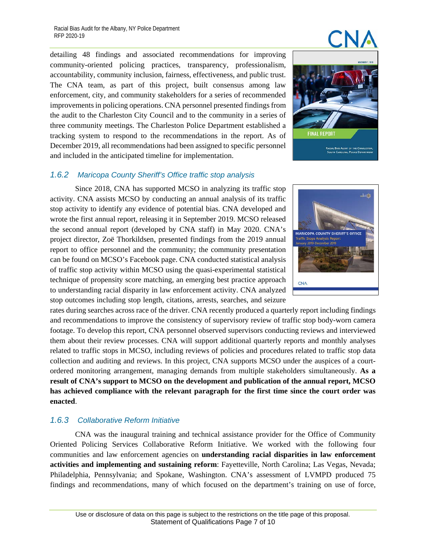detailing 48 findings and associated recommendations for improving community-oriented policing practices, transparency, professionalism, accountability, community inclusion, fairness, effectiveness, and public trust. The CNA team, as part of this project, built consensus among law enforcement, city, and community stakeholders for a series of recommended improvements in policing operations. CNA personnel presented findings from the audit to the Charleston City Council and to the community in a series of three community meetings. The Charleston Police Department established a tracking system to respond to the recommendations in the report. As of December 2019, all recommendations had been assigned to specific personnel and included in the anticipated timeline for implementation.



#### <span id="page-9-0"></span>*1.6.2 Maricopa County Sheriff's Office traffic stop analysis*

Since 2018, CNA has supported MCSO in analyzing its traffic stop activity. CNA assists MCSO by conducting an annual analysis of its traffic stop activity to identify any evidence of potential bias. CNA developed and wrote the first annual report, releasing it in September 2019. MCSO released the second annual report (developed by CNA staff) in May 2020. CNA's project director, Zoë Thorkildsen, presented findings from the 2019 annual report to office personnel and the community; the community presentation can be found on MCSO's Facebook page. CNA conducted statistical analysis of traffic stop activity within MCSO using the quasi-experimental statistical technique of propensity score matching, an emerging best practice approach to understanding racial disparity in law enforcement activity. CNA analyzed stop outcomes including stop length, citations, arrests, searches, and seizure

rates during searches across race of the driver. CNA recently produced a quarterly report including findings and recommendations to improve the consistency of supervisory review of traffic stop body-worn camera footage. To develop this report, CNA personnel observed supervisors conducting reviews and interviewed them about their review processes. CNA will support additional quarterly reports and monthly analyses related to traffic stops in MCSO, including reviews of policies and procedures related to traffic stop data collection and auditing and reviews. In this project, CNA supports MCSO under the auspices of a courtordered monitoring arrangement, managing demands from multiple stakeholders simultaneously. **As a result of CNA's support to MCSO on the development and publication of the annual report, MCSO has achieved compliance with the relevant paragraph for the first time since the court order was enacted**.

#### <span id="page-9-1"></span>*1.6.3 Collaborative Reform Initiative*

CNA was the inaugural training and technical assistance provider for the Office of Community Oriented Policing Services Collaborative Reform Initiative. We worked with the following four communities and law enforcement agencies on **understanding racial disparities in law enforcement activities and implementing and sustaining reform**: Fayetteville, North Carolina; Las Vegas, Nevada; Philadelphia, Pennsylvania; and Spokane, Washington. CNA's assessment of LVMPD produced 75 findings and recommendations, many of which focused on the department's training on use of force,



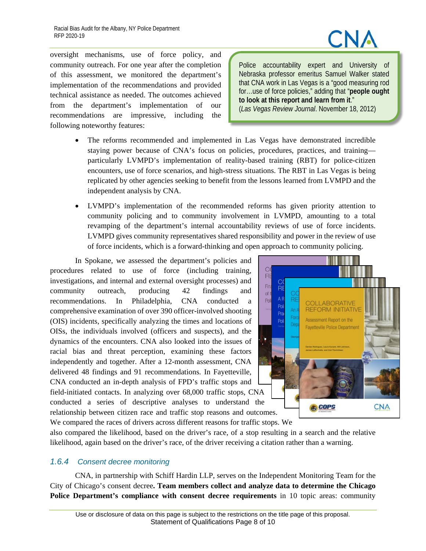oversight mechanisms, use of force policy, and community outreach. For one year after the completion of this assessment, we monitored the department's implementation of the recommendations and provided technical assistance as needed. The outcomes achieved from the department's implementation of our recommendations are impressive, including the following noteworthy features:

Police accountability expert and University of Nebraska professor emeritus Samuel Walker stated that CNA work in Las Vegas is a "good measuring rod for…use of force policies," adding that "**people ought to look at this report and learn from it**." (*Las Vegas Review Journal*. November 18, 2012)

- The reforms recommended and implemented in Las Vegas have demonstrated incredible staying power because of CNA's focus on policies, procedures, practices, and training particularly LVMPD's implementation of reality-based training (RBT) for police-citizen encounters, use of force scenarios, and high-stress situations. The RBT in Las Vegas is being replicated by other agencies seeking to benefit from the lessons learned from LVMPD and the independent analysis by CNA.
- LVMPD's implementation of the recommended reforms has given priority attention to community policing and to community involvement in LVMPD, amounting to a total revamping of the department's internal accountability reviews of use of force incidents. LVMPD gives community representatives shared responsibility and power in the review of use of force incidents, which is a forward-thinking and open approach to community policing.

In Spokane, we assessed the department's policies and procedures related to use of force (including training, investigations, and internal and external oversight processes) and community outreach, producing 42 findings and recommendations. In Philadelphia, CNA conducted a comprehensive examination of over 390 officer-involved shooting (OIS) incidents, specifically analyzing the times and locations of OISs, the individuals involved (officers and suspects), and the dynamics of the encounters. CNA also looked into the issues of racial bias and threat perception, examining these factors independently and together. After a 12-month assessment, CNA delivered 48 findings and 91 recommendations. In Fayetteville, CNA conducted an in-depth analysis of FPD's traffic stops and field-initiated contacts. In analyzing over 68,000 traffic stops, CNA conducted a series of descriptive analyses to understand the relationship between citizen race and traffic stop reasons and outcomes. We compared the races of drivers across different reasons for traffic stops. We



also compared the likelihood, based on the driver's race, of a stop resulting in a search and the relative likelihood, again based on the driver's race, of the driver receiving a citation rather than a warning.

#### <span id="page-10-0"></span>*1.6.4 Consent decree monitoring*

CNA, in partnership with Schiff Hardin LLP, serves on the Independent Monitoring Team for the City of Chicago's consent decree**. Team members collect and analyze data to determine the Chicago Police Department's compliance with consent decree requirements** in 10 topic areas: community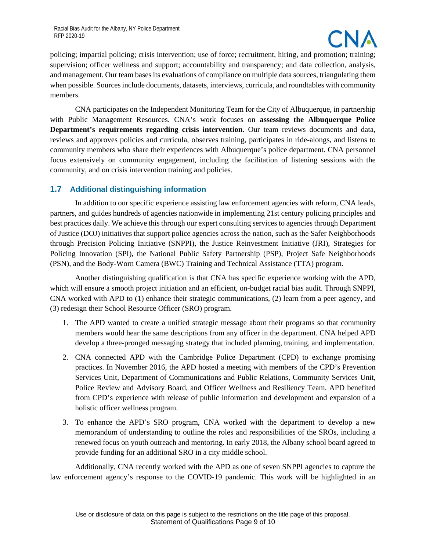

policing; impartial policing; crisis intervention; use of force; recruitment, hiring, and promotion; training; supervision; officer wellness and support; accountability and transparency; and data collection, analysis, and management. Our team bases its evaluations of compliance on multiple data sources, triangulating them when possible. Sources include documents, datasets, interviews, curricula, and roundtables with community members.

CNA participates on the Independent Monitoring Team for the City of Albuquerque, in partnership with Public Management Resources. CNA's work focuses on **assessing the Albuquerque Police Department's requirements regarding crisis intervention**. Our team reviews documents and data, reviews and approves policies and curricula, observes training, participates in ride-alongs, and listens to community members who share their experiences with Albuquerque's police department. CNA personnel focus extensively on community engagement, including the facilitation of listening sessions with the community, and on crisis intervention training and policies.

#### <span id="page-11-0"></span>**1.7 Additional distinguishing information**

In addition to our specific experience assisting law enforcement agencies with reform, CNA leads, partners, and guides hundreds of agencies nationwide in implementing 21st century policing principles and best practices daily. We achieve this through our expert consulting services to agencies through Department of Justice (DOJ) initiatives that support police agencies across the nation, such as the Safer Neighborhoods through Precision Policing Initiative (SNPPI), the Justice Reinvestment Initiative (JRI), Strategies for Policing Innovation (SPI), the National Public Safety Partnership (PSP), Project Safe Neighborhoods (PSN), and the Body-Worn Camera (BWC) Training and Technical Assistance (TTA) program.

Another distinguishing qualification is that CNA has specific experience working with the APD, which will ensure a smooth project initiation and an efficient, on-budget racial bias audit. Through SNPPI, CNA worked with APD to (1) enhance their strategic communications, (2) learn from a peer agency, and (3) redesign their School Resource Officer (SRO) program.

- 1. The APD wanted to create a unified strategic message about their programs so that community members would hear the same descriptions from any officer in the department. CNA helped APD develop a three-pronged messaging strategy that included planning, training, and implementation.
- 2. CNA connected APD with the Cambridge Police Department (CPD) to exchange promising practices. In November 2016, the APD hosted a meeting with members of the CPD's Prevention Services Unit, Department of Communications and Public Relations, Community Services Unit, Police Review and Advisory Board, and Officer Wellness and Resiliency Team. APD benefited from CPD's experience with release of public information and development and expansion of a holistic officer wellness program.
- 3. To enhance the APD's SRO program, CNA worked with the department to develop a new memorandum of understanding to outline the roles and responsibilities of the SROs, including a renewed focus on youth outreach and mentoring. In early 2018, the Albany school board agreed to provide funding for an additional SRO in a city middle school.

Additionally, CNA recently worked with the APD as one of seven SNPPI agencies to capture the law enforcement agency's response to the COVID-19 pandemic. This work will be highlighted in an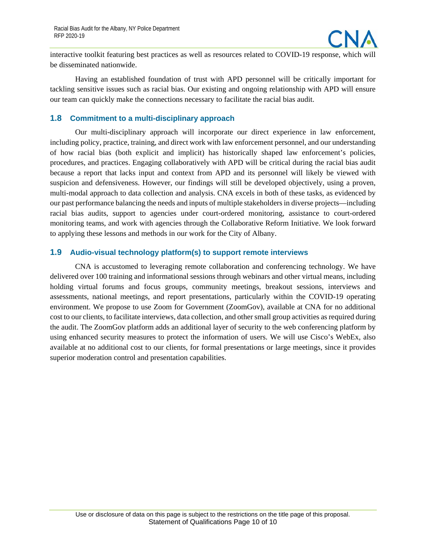

interactive toolkit featuring best practices as well as resources related to COVID-19 response, which will be disseminated nationwide.

Having an established foundation of trust with APD personnel will be critically important for tackling sensitive issues such as racial bias. Our existing and ongoing relationship with APD will ensure our team can quickly make the connections necessary to facilitate the racial bias audit.

#### <span id="page-12-0"></span>**1.8 Commitment to a multi-disciplinary approach**

Our multi-disciplinary approach will incorporate our direct experience in law enforcement, including policy, practice, training, and direct work with law enforcement personnel, and our understanding of how racial bias (both explicit and implicit) has historically shaped law enforcement's policies, procedures, and practices. Engaging collaboratively with APD will be critical during the racial bias audit because a report that lacks input and context from APD and its personnel will likely be viewed with suspicion and defensiveness. However, our findings will still be developed objectively, using a proven, multi-modal approach to data collection and analysis. CNA excels in both of these tasks, as evidenced by our past performance balancing the needs and inputs of multiple stakeholders in diverse projects—including racial bias audits, support to agencies under court-ordered monitoring, assistance to court-ordered monitoring teams, and work with agencies through the Collaborative Reform Initiative. We look forward to applying these lessons and methods in our work for the City of Albany.

#### <span id="page-12-1"></span>**1.9 Audio-visual technology platform(s) to support remote interviews**

CNA is accustomed to leveraging remote collaboration and conferencing technology. We have delivered over 100 training and informational sessions through webinars and other virtual means, including holding virtual forums and focus groups, community meetings, breakout sessions, interviews and assessments, national meetings, and report presentations, particularly within the COVID-19 operating environment. We propose to use Zoom for Government (ZoomGov), available at CNA for no additional cost to our clients, to facilitate interviews, data collection, and other small group activities as required during the audit. The ZoomGov platform adds an additional layer of security to the web conferencing platform by using enhanced security measures to protect the information of users. We will use Cisco's WebEx, also available at no additional cost to our clients, for formal presentations or large meetings, since it provides superior moderation control and presentation capabilities.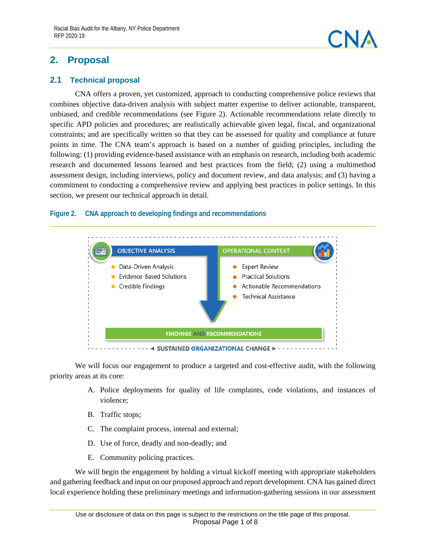<span id="page-13-0"></span>



#### <span id="page-13-1"></span>**2.1 Technical proposal**

CNA offers a proven, yet customized, approach to conducting comprehensive police reviews that combines objective data-driven analysis with subject matter expertise to deliver actionable, transparent, unbiased, and credible recommendations (see [Figure 2\)](#page-13-2). Actionable recommendations relate directly to specific APD policies and procedures; are realistically achievable given legal, fiscal, and organizational constraints; and are specifically written so that they can be assessed for quality and compliance at future points in time. The CNA team's approach is based on a number of guiding principles, including the following: (1) providing evidence-based assistance with an emphasis on research, including both academic research and documented lessons learned and best practices from the field; (2) using a multimethod assessment design, including interviews, policy and document review, and data analysis; and (3) having a commitment to conducting a comprehensive review and applying best practices in police settings. In this section, we present our technical approach in detail.

#### <span id="page-13-2"></span>**Figure 2. CNA approach to developing findings and recommendations**



We will focus our engagement to produce a targeted and cost-effective audit, with the following priority areas at its core:

- A. Police deployments for quality of life complaints, code violations, and instances of violence;
- B. Traffic stops;
- C. The complaint process, internal and external;
- D. Use of force, deadly and non-deadly; and
- E. Community policing practices.

We will begin the engagement by holding a virtual kickoff meeting with appropriate stakeholders and gathering feedback and input on our proposed approach and report development. CNA has gained direct local experience holding these preliminary meetings and information-gathering sessions in our assessment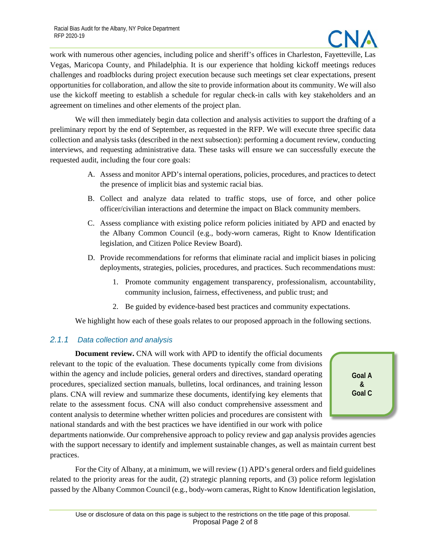

work with numerous other agencies, including police and sheriff's offices in Charleston, Fayetteville, Las Vegas, Maricopa County, and Philadelphia. It is our experience that holding kickoff meetings reduces challenges and roadblocks during project execution because such meetings set clear expectations, present opportunities for collaboration, and allow the site to provide information about its community. We will also use the kickoff meeting to establish a schedule for regular check-in calls with key stakeholders and an agreement on timelines and other elements of the project plan.

We will then immediately begin data collection and analysis activities to support the drafting of a preliminary report by the end of September, as requested in the RFP. We will execute three specific data collection and analysis tasks (described in the next subsection): performing a document review, conducting interviews, and requesting administrative data. These tasks will ensure we can successfully execute the requested audit, including the four core goals:

- A. Assess and monitor APD's internal operations, policies, procedures, and practices to detect the presence of implicit bias and systemic racial bias.
- B. Collect and analyze data related to traffic stops, use of force, and other police officer/civilian interactions and determine the impact on Black community members.
- C. Assess compliance with existing police reform policies initiated by APD and enacted by the Albany Common Council (e.g., body-worn cameras, Right to Know Identification legislation, and Citizen Police Review Board).
- D. Provide recommendations for reforms that eliminate racial and implicit biases in policing deployments, strategies, policies, procedures, and practices. Such recommendations must:
	- 1. Promote community engagement transparency, professionalism, accountability, community inclusion, fairness, effectiveness, and public trust; and
	- 2. Be guided by evidence-based best practices and community expectations.

We highlight how each of these goals relates to our proposed approach in the following sections.

#### <span id="page-14-0"></span>*2.1.1 Data collection and analysis*

**Document review.** CNA will work with APD to identify the official documents relevant to the topic of the evaluation. These documents typically come from divisions within the agency and include policies, general orders and directives, standard operating procedures, specialized section manuals, bulletins, local ordinances, and training lesson plans. CNA will review and summarize these documents, identifying key elements that relate to the assessment focus. CNA will also conduct comprehensive assessment and content analysis to determine whether written policies and procedures are consistent with national standards and with the best practices we have identified in our work with police

**Goal A & Goal C**

departments nationwide. Our comprehensive approach to policy review and gap analysis provides agencies with the support necessary to identify and implement sustainable changes, as well as maintain current best practices.

For the City of Albany, at a minimum, we will review (1) APD's general orders and field guidelines related to the priority areas for the audit, (2) strategic planning reports, and (3) police reform legislation passed by the Albany Common Council (e.g., body-worn cameras, Right to Know Identification legislation,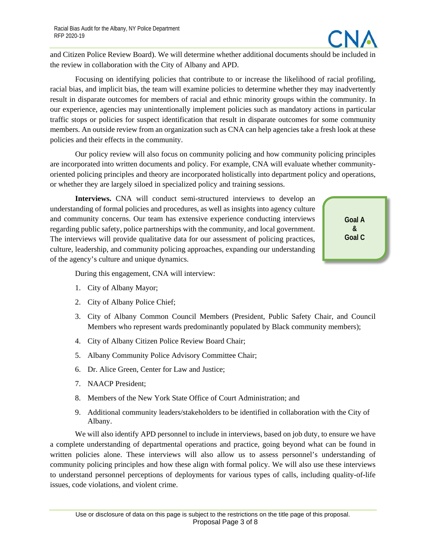and Citizen Police Review Board). We will determine whether additional documents should be included in the review in collaboration with the City of Albany and APD.

Focusing on identifying policies that contribute to or increase the likelihood of racial profiling, racial bias, and implicit bias, the team will examine policies to determine whether they may inadvertently result in disparate outcomes for members of racial and ethnic minority groups within the community. In our experience, agencies may unintentionally implement policies such as mandatory actions in particular traffic stops or policies for suspect identification that result in disparate outcomes for some community members. An outside review from an organization such as CNA can help agencies take a fresh look at these policies and their effects in the community.

Our policy review will also focus on community policing and how community policing principles are incorporated into written documents and policy. For example, CNA will evaluate whether communityoriented policing principles and theory are incorporated holistically into department policy and operations, or whether they are largely siloed in specialized policy and training sessions.

**Interviews.** CNA will conduct semi-structured interviews to develop an understanding of formal policies and procedures, as well as insights into agency culture and community concerns. Our team has extensive experience conducting interviews regarding public safety, police partnerships with the community, and local government. The interviews will provide qualitative data for our assessment of policing practices, culture, leadership, and community policing approaches, expanding our understanding of the agency's culture and unique dynamics.

**Goal A & Goal C**

During this engagement, CNA will interview:

- 1. City of Albany Mayor;
- 2. City of Albany Police Chief;
- 3. City of Albany Common Council Members (President, Public Safety Chair, and Council Members who represent wards predominantly populated by Black community members);
- 4. City of Albany Citizen Police Review Board Chair;
- 5. Albany Community Police Advisory Committee Chair;
- 6. Dr. Alice Green, Center for Law and Justice;
- 7. NAACP President;
- 8. Members of the New York State Office of Court Administration; and
- 9. Additional community leaders/stakeholders to be identified in collaboration with the City of Albany.

We will also identify APD personnel to include in interviews, based on job duty, to ensure we have a complete understanding of departmental operations and practice, going beyond what can be found in written policies alone. These interviews will also allow us to assess personnel's understanding of community policing principles and how these align with formal policy. We will also use these interviews to understand personnel perceptions of deployments for various types of calls, including quality-of-life issues, code violations, and violent crime.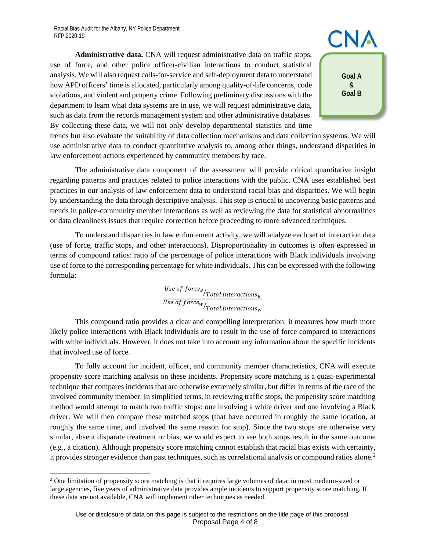**Administrative data.** CNA will request administrative data on traffic stops, use of force, and other police officer-civilian interactions to conduct statistical analysis. We will also request calls-for-service and self-deployment data to understand how APD officers' time is allocated, particularly among quality-of-life concerns, code violations, and violent and property crime. Following preliminary discussions with the department to learn what data systems are in use, we will request administrative data, such as data from the records management system and other administrative databases. By collecting these data, we will not only develop departmental statistics and time

**Goal A & Goal B**

trends but also evaluate the suitability of data collection mechanisms and data collection systems. We will use administrative data to conduct quantitative analysis to, among other things, understand disparities in law enforcement actions experienced by community members by race.

The administrative data component of the assessment will provide critical quantitative insight regarding patterns and practices related to police interactions with the public. CNA uses established best practices in our analysis of law enforcement data to understand racial bias and disparities. We will begin by understanding the data through descriptive analysis. This step is critical to uncovering basic patterns and trends in police-community member interactions as well as reviewing the data for statistical abnormalities or data cleanliness issues that require correction before proceeding to more advanced techniques.

To understand disparities in law enforcement activity, we will analyze each set of interaction data (use of force, traffic stops, and other interactions). Disproportionality in outcomes is often expressed in terms of compound ratios: ratio of the percentage of police interactions with Black individuals involving use of force to the corresponding percentage for white individuals. This can be expressed with the following formula:

> Use of  $\left. \rm{force}_{B}\right/_{Total\ interactions_{B}}$ Use of force $_{W/\!\! T}$ otal interactions $_{W}$

This compound ratio provides a clear and compelling interpretation: it measures how much more likely police interactions with Black individuals are to result in the use of force compared to interactions with white individuals. However, it does not take into account any information about the specific incidents that involved use of force.

To fully account for incident, officer, and community member characteristics, CNA will execute propensity score matching analysis on these incidents. Propensity score matching is a quasi-experimental technique that compares incidents that are otherwise extremely similar, but differ in terms of the race of the involved community member. In simplified terms, in reviewing traffic stops, the propensity score matching method would attempt to match two traffic stops: one involving a white driver and one involving a Black driver. We will then compare these matched stops (that have occurred in roughly the same location, at roughly the same time, and involved the same reason for stop). Since the two stops are otherwise very similar, absent disparate treatment or bias, we would expect to see both stops result in the same outcome (e.g., a citation). Although propensity score matching cannot establish that racial bias exists with certainty, it provides stronger evidence than past techniques, such as correlational analysis or compound ratios alone.<sup>[2](#page-16-0)</sup>

<span id="page-16-0"></span> $2$  One limitation of propensity score matching is that it requires large volumes of data; in most medium-sized or large agencies, five years of administrative data provides ample incidents to support propensity score matching. If these data are not available, CNA will implement other techniques as needed.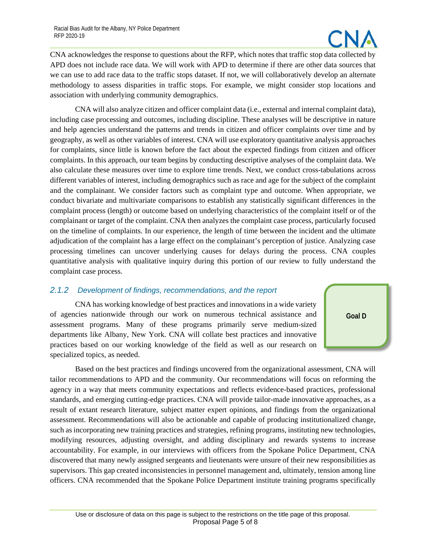

CNA acknowledges the response to questions about the RFP, which notes that traffic stop data collected by APD does not include race data. We will work with APD to determine if there are other data sources that we can use to add race data to the traffic stops dataset. If not, we will collaboratively develop an alternate methodology to assess disparities in traffic stops. For example, we might consider stop locations and association with underlying community demographics.

CNA will also analyze citizen and officer complaint data (i.e., external and internal complaint data), including case processing and outcomes, including discipline. These analyses will be descriptive in nature and help agencies understand the patterns and trends in citizen and officer complaints over time and by geography, as well as other variables of interest. CNA will use exploratory quantitative analysis approaches for complaints, since little is known before the fact about the expected findings from citizen and officer complaints. In this approach, our team begins by conducting descriptive analyses of the complaint data. We also calculate these measures over time to explore time trends. Next, we conduct cross-tabulations across different variables of interest, including demographics such as race and age for the subject of the complaint and the complainant. We consider factors such as complaint type and outcome. When appropriate, we conduct bivariate and multivariate comparisons to establish any statistically significant differences in the complaint process (length) or outcome based on underlying characteristics of the complaint itself or of the complainant or target of the complaint. CNA then analyzes the complaint case process, particularly focused on the timeline of complaints. In our experience, the length of time between the incident and the ultimate adjudication of the complaint has a large effect on the complainant's perception of justice. Analyzing case processing timelines can uncover underlying causes for delays during the process. CNA couples quantitative analysis with qualitative inquiry during this portion of our review to fully understand the complaint case process.

#### <span id="page-17-0"></span>*2.1.2 Development of findings, recommendations, and the report*

CNA has working knowledge of best practices and innovations in a wide variety of agencies nationwide through our work on numerous technical assistance and assessment programs. Many of these programs primarily serve medium-sized departments like Albany, New York. CNA will collate best practices and innovative practices based on our working knowledge of the field as well as our research on specialized topics, as needed.



Based on the best practices and findings uncovered from the organizational assessment, CNA will tailor recommendations to APD and the community. Our recommendations will focus on reforming the agency in a way that meets community expectations and reflects evidence-based practices, professional standards, and emerging cutting-edge practices. CNA will provide tailor-made innovative approaches, as a result of extant research literature, subject matter expert opinions, and findings from the organizational assessment. Recommendations will also be actionable and capable of producing institutionalized change, such as incorporating new training practices and strategies, refining programs, instituting new technologies, modifying resources, adjusting oversight, and adding disciplinary and rewards systems to increase accountability. For example, in our interviews with officers from the Spokane Police Department, CNA discovered that many newly assigned sergeants and lieutenants were unsure of their new responsibilities as supervisors. This gap created inconsistencies in personnel management and, ultimately, tension among line officers. CNA recommended that the Spokane Police Department institute training programs specifically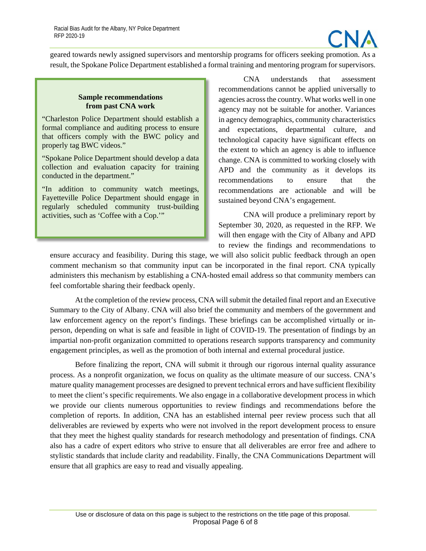

geared towards newly assigned supervisors and mentorship programs for officers seeking promotion. As a result, the Spokane Police Department established a formal training and mentoring program for supervisors.

#### **Sample recommendations from past CNA work**

"Charleston Police Department should establish a formal compliance and auditing process to ensure that officers comply with the BWC policy and properly tag BWC videos."

"Spokane Police Department should develop a data collection and evaluation capacity for training conducted in the department."

"In addition to community watch meetings, Fayetteville Police Department should engage in regularly scheduled community trust-building activities, such as 'Coffee with a Cop.'"

CNA understands that assessment recommendations cannot be applied universally to agencies across the country. What works well in one agency may not be suitable for another. Variances in agency demographics, community characteristics and expectations, departmental culture, and technological capacity have significant effects on the extent to which an agency is able to influence change. CNA is committed to working closely with APD and the community as it develops its recommendations to ensure that the recommendations are actionable and will be sustained beyond CNA's engagement.

CNA will produce a preliminary report by September 30, 2020, as requested in the RFP. We will then engage with the City of Albany and APD to review the findings and recommendations to

ensure accuracy and feasibility. During this stage, we will also solicit public feedback through an open comment mechanism so that community input can be incorporated in the final report. CNA typically administers this mechanism by establishing a CNA-hosted email address so that community members can feel comfortable sharing their feedback openly.

At the completion of the review process, CNA will submit the detailed final report and an Executive Summary to the City of Albany. CNA will also brief the community and members of the government and law enforcement agency on the report's findings. These briefings can be accomplished virtually or inperson, depending on what is safe and feasible in light of COVID-19. The presentation of findings by an impartial non-profit organization committed to operations research supports transparency and community engagement principles, as well as the promotion of both internal and external procedural justice.

Before finalizing the report, CNA will submit it through our rigorous internal quality assurance process. As a nonprofit organization, we focus on quality as the ultimate measure of our success. CNA's mature quality management processes are designed to prevent technical errors and have sufficient flexibility to meet the client's specific requirements. We also engage in a collaborative development process in which we provide our clients numerous opportunities to review findings and recommendations before the completion of reports. In addition, CNA has an established internal peer review process such that all deliverables are reviewed by experts who were not involved in the report development process to ensure that they meet the highest quality standards for research methodology and presentation of findings. CNA also has a cadre of expert editors who strive to ensure that all deliverables are error free and adhere to stylistic standards that include clarity and readability. Finally, the CNA Communications Department will ensure that all graphics are easy to read and visually appealing.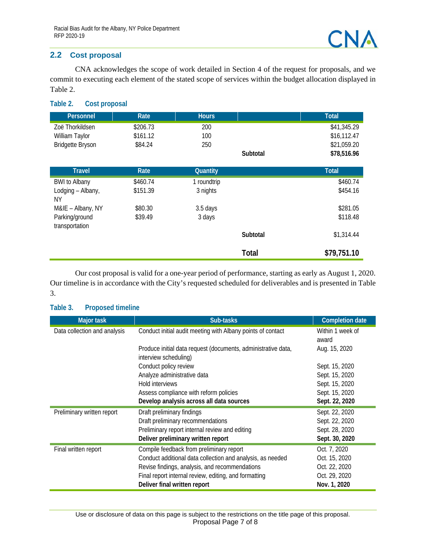#### <span id="page-19-0"></span>**2.2 Cost proposal**

CNA acknowledges the scope of work detailed in Section 4 of the request for proposals, and we commit to executing each element of the stated scope of services within the budget allocation displayed in [Table 2.](#page-19-1)

#### <span id="page-19-1"></span>**Table 2. Cost proposal**

| Personnel               | Rate     | <b>Hours</b>    |              | <b>Total</b> |
|-------------------------|----------|-----------------|--------------|--------------|
| Zoë Thorkildsen         | \$206.73 | 200             |              | \$41,345.29  |
| William Taylor          | \$161.12 | 100             |              | \$16,112.47  |
| <b>Bridgette Bryson</b> | \$84.24  | 250             |              | \$21,059.20  |
|                         |          |                 | Subtotal     | \$78,516.96  |
|                         |          |                 |              |              |
| <b>Travel</b>           | Rate     | <b>Quantity</b> |              | Total        |
| <b>BWI</b> to Albany    | \$460.74 | 1 roundtrip     |              | \$460.74     |
| Lodging - Albany,       | \$151.39 | 3 nights        |              | \$454.16     |
| ΝY                      |          |                 |              |              |
| M&IE - Albany, NY       | \$80.30  | 3.5 days        |              | \$281.05     |
| Parking/ground          | \$39.49  | 3 days          |              | \$118.48     |
| transportation          |          |                 |              |              |
|                         |          |                 | Subtotal     | \$1,314.44   |
|                         |          |                 | <b>Total</b> | \$79,751.10  |

Our cost proposal is valid for a one-year period of performance, starting as early as August 1, 2020. Our timeline is in accordance with the City's requested scheduled for deliverables and is presented in [Table](#page-19-2)  [3.](#page-19-2)

| <b>Major task</b>            | Sub-tasks                                                     | <b>Completion date</b> |
|------------------------------|---------------------------------------------------------------|------------------------|
| Data collection and analysis | Conduct initial audit meeting with Albany points of contact   | Within 1 week of       |
|                              |                                                               | award                  |
|                              | Produce initial data request (documents, administrative data, | Aug. 15, 2020          |
|                              | interview scheduling)                                         |                        |
|                              | Conduct policy review                                         | Sept. 15, 2020         |
|                              | Analyze administrative data                                   | Sept. 15, 2020         |
|                              | Hold interviews                                               | Sept. 15, 2020         |
|                              | Assess compliance with reform policies                        | Sept. 15, 2020         |
|                              | Develop analysis across all data sources                      | Sept. 22, 2020         |
| Preliminary written report   | Draft preliminary findings                                    | Sept. 22, 2020         |
|                              | Draft preliminary recommendations                             | Sept. 22, 2020         |
|                              | Preliminary report internal review and editing                | Sept. 28, 2020         |
|                              | Deliver preliminary written report                            | Sept. 30, 2020         |
| Final written report         | Compile feedback from preliminary report                      | Oct. 7, 2020           |
|                              | Conduct additional data collection and analysis, as needed    | Oct. 15, 2020          |
|                              | Revise findings, analysis, and recommendations                | Oct. 22, 2020          |
|                              | Final report internal review, editing, and formatting         | Oct. 29, 2020          |
|                              | Deliver final written report                                  | Nov. 1, 2020           |

#### <span id="page-19-2"></span>**Table 3. Proposed timeline**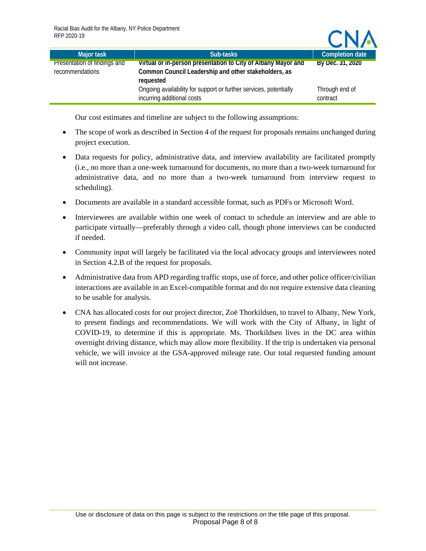| Major task                   | Sub-tasks                                                                                       | <b>Completion date</b>     |
|------------------------------|-------------------------------------------------------------------------------------------------|----------------------------|
| Presentation of findings and | Virtual or in-person presentation to City of Albany Mayor and                                   | By Dec. 31, 2020           |
| recommendations              | Common Council Leadership and other stakeholders, as<br>requested                               |                            |
|                              | Ongoing availability for support or further services, potentially<br>incurring additional costs | Through end of<br>contract |

CNA

Our cost estimates and timeline are subject to the following assumptions:

- The scope of work as described in Section 4 of the request for proposals remains unchanged during project execution.
- Data requests for policy, administrative data, and interview availability are facilitated promptly (i.e., no more than a one-week turnaround for documents, no more than a two-week turnaround for administrative data, and no more than a two-week turnaround from interview request to scheduling).
- Documents are available in a standard accessible format, such as PDFs or Microsoft Word.
- Interviewees are available within one week of contact to schedule an interview and are able to participate virtually—preferably through a video call, though phone interviews can be conducted if needed.
- Community input will largely be facilitated via the local advocacy groups and interviewees noted in Section 4.2.B of the request for proposals.
- Administrative data from APD regarding traffic stops, use of force, and other police officer/civilian interactions are available in an Excel-compatible format and do not require extensive data cleaning to be usable for analysis.
- CNA has allocated costs for our project director, Zoë Thorkildsen, to travel to Albany, New York, to present findings and recommendations. We will work with the City of Albany, in light of COVID-19, to determine if this is appropriate. Ms. Thorkildsen lives in the DC area within overnight driving distance, which may allow more flexibility. If the trip is undertaken via personal vehicle, we will invoice at the GSA-approved mileage rate. Our total requested funding amount will not increase